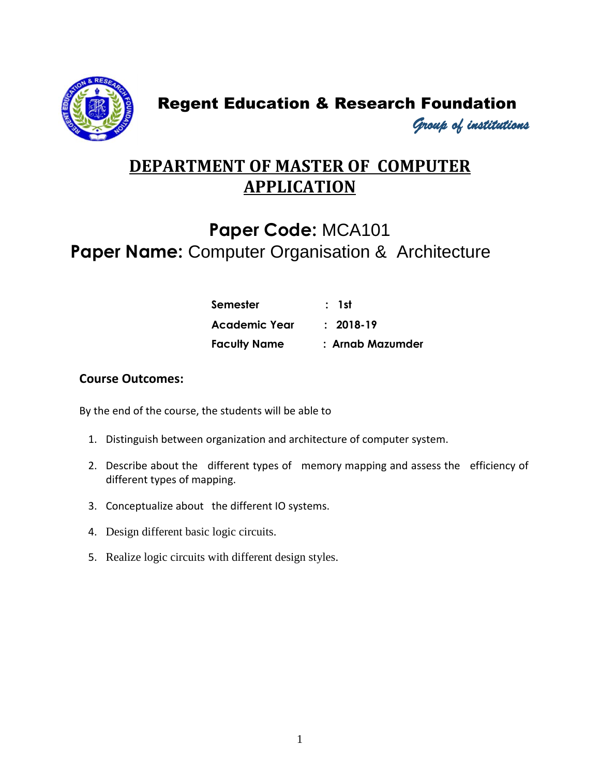

### Regent Education & Research Foundation

*Group of institutions* 

### **DEPARTMENT OF MASTER OF COMPUTER APPLICATION**

### **Paper Code:** MCA101 **Paper Name:** Computer Organisation & Architecture

| Semester            | : 1st            |
|---------------------|------------------|
| Academic Year       | $: 2018-19$      |
| <b>Faculty Name</b> | : Arnab Mazumder |

#### **Course Outcomes:**

- 1. Distinguish between organization and architecture of computer system.
- 2. Describe about the different types of memory mapping and assess the efficiency of different types of mapping.
- 3. Conceptualize about the different IO systems.
- 4. Design different basic logic circuits.
- 5. Realize logic circuits with different design styles.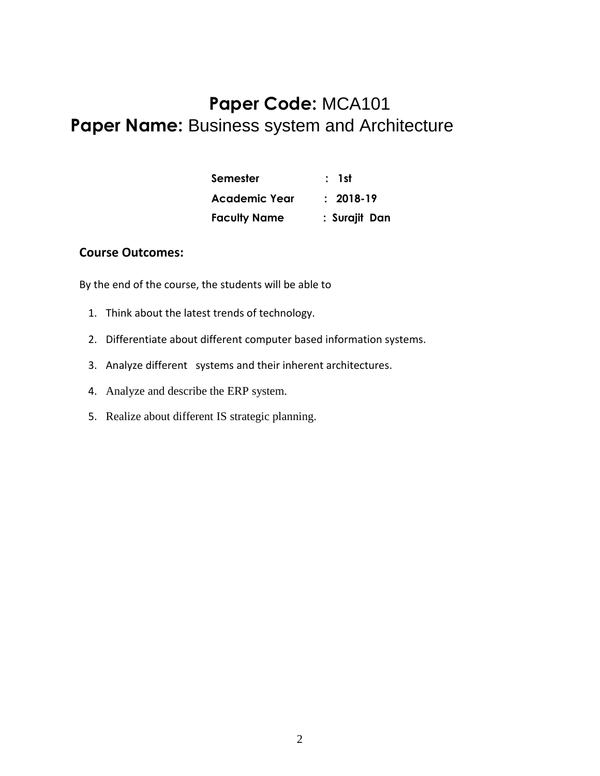## **Paper Code:** MCA101 **Paper Name:** Business system and Architecture

| Semester            | : 1st         |
|---------------------|---------------|
| Academic Year       | $: 2018-19$   |
| <b>Faculty Name</b> | : Surajit Dan |

#### **Course Outcomes:**

- 1. Think about the latest trends of technology.
- 2. Differentiate about different computer based information systems.
- 3. Analyze different systems and their inherent architectures.
- 4. Analyze and describe the ERP system.
- 5. Realize about different IS strategic planning.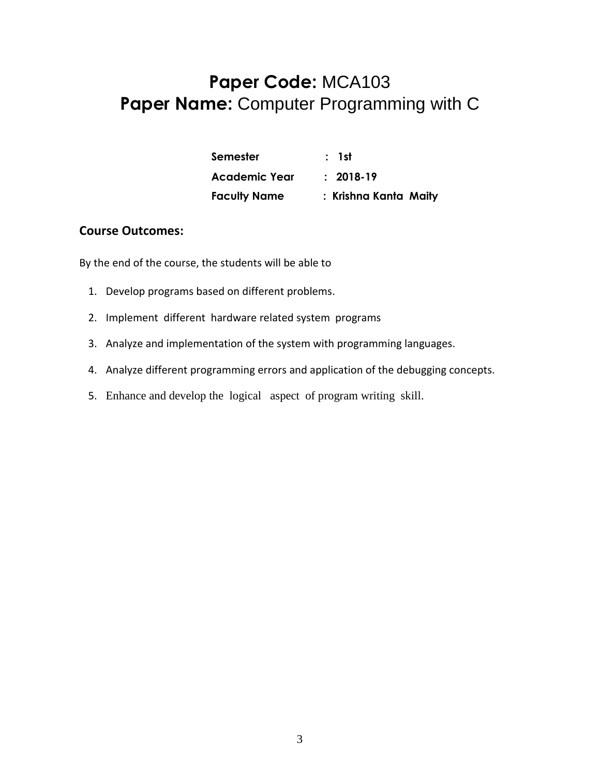### **Paper Code:** MCA103 **Paper Name:** Computer Programming with C

| Semester             | : 1st                 |
|----------------------|-----------------------|
| <b>Academic Year</b> | $: 2018-19$           |
| <b>Faculty Name</b>  | : Krishna Kanta Maity |

#### **Course Outcomes:**

- 1. Develop programs based on different problems.
- 2. Implement different hardware related system programs
- 3. Analyze and implementation of the system with programming languages.
- 4. Analyze different programming errors and application of the debugging concepts.
- 5. Enhance and develop the logical aspect of program writing skill.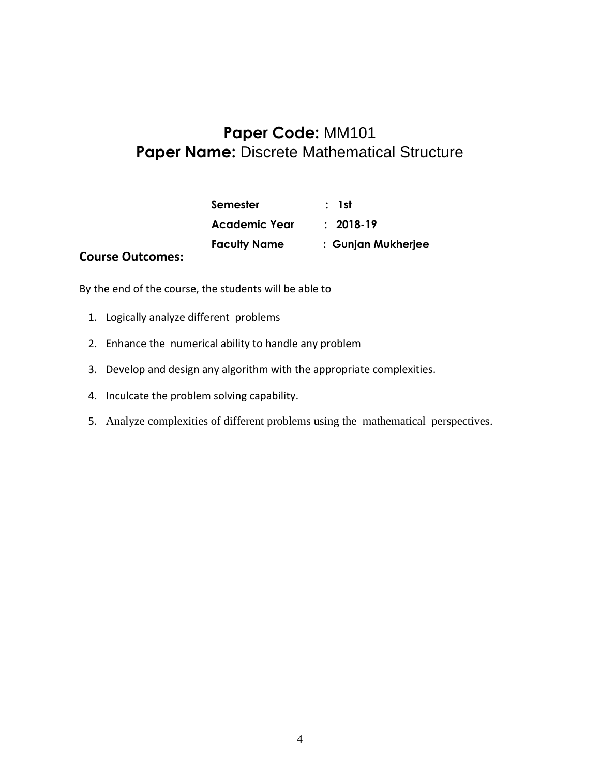### **Paper Code:** MM101 **Paper Name:** Discrete Mathematical Structure

|                         | Semester             | : 1st              |
|-------------------------|----------------------|--------------------|
|                         | <b>Academic Year</b> | $: 2018-19$        |
| <b>Course Outcomes:</b> | <b>Faculty Name</b>  | : Gunjan Mukherjee |

- 1. Logically analyze different problems
- 2. Enhance the numerical ability to handle any problem
- 3. Develop and design any algorithm with the appropriate complexities.
- 4. Inculcate the problem solving capability.
- 5. Analyze complexities of different problems using the mathematical perspectives.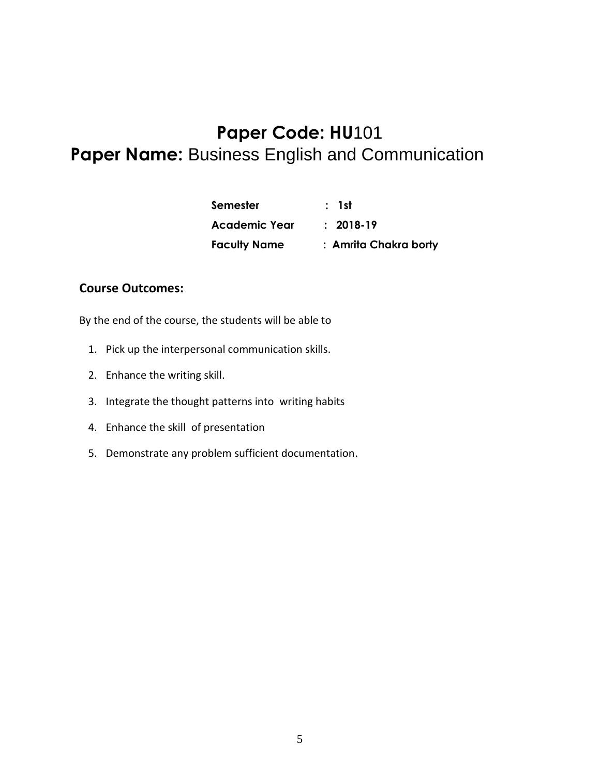### **Paper Code: HU**101 **Paper Name:** Business English and Communication

| <b>Semester</b>      | : 1st                 |
|----------------------|-----------------------|
| <b>Academic Year</b> | $: 2018-19$           |
| <b>Faculty Name</b>  | : Amrita Chakra borty |

#### **Course Outcomes:**

- 1. Pick up the interpersonal communication skills.
- 2. Enhance the writing skill.
- 3. Integrate the thought patterns into writing habits
- 4. Enhance the skill of presentation
- 5. Demonstrate any problem sufficient documentation.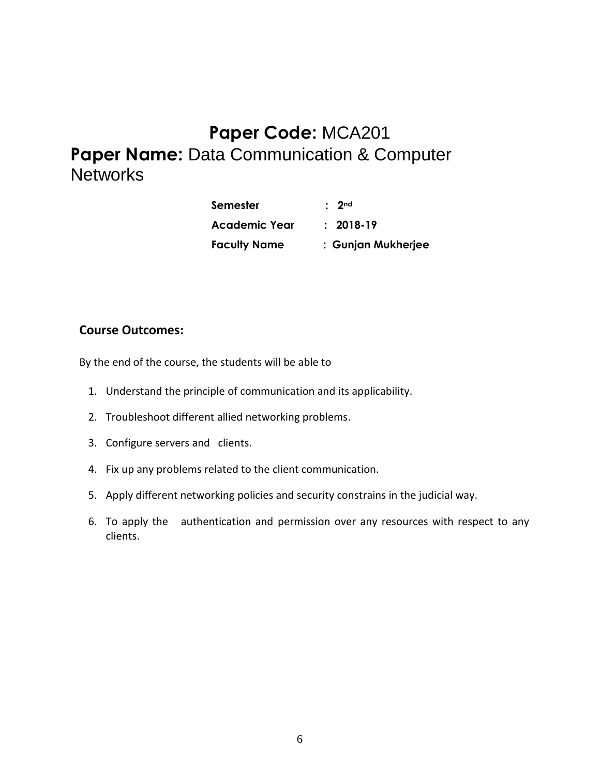### **Paper Code:** MCA201 **Paper Name: Data Communication & Computer Networks**

| Semester             | $\cdot$ 2nd        |
|----------------------|--------------------|
| <b>Academic Year</b> | $: 2018-19$        |
| <b>Faculty Name</b>  | : Gunjan Mukherjee |

#### **Course Outcomes:**

- 1. Understand the principle of communication and its applicability.
- 2. Troubleshoot different allied networking problems.
- 3. Configure servers and clients.
- 4. Fix up any problems related to the client communication.
- 5. Apply different networking policies and security constrains in the judicial way.
- 6. To apply the authentication and permission over any resources with respect to any clients.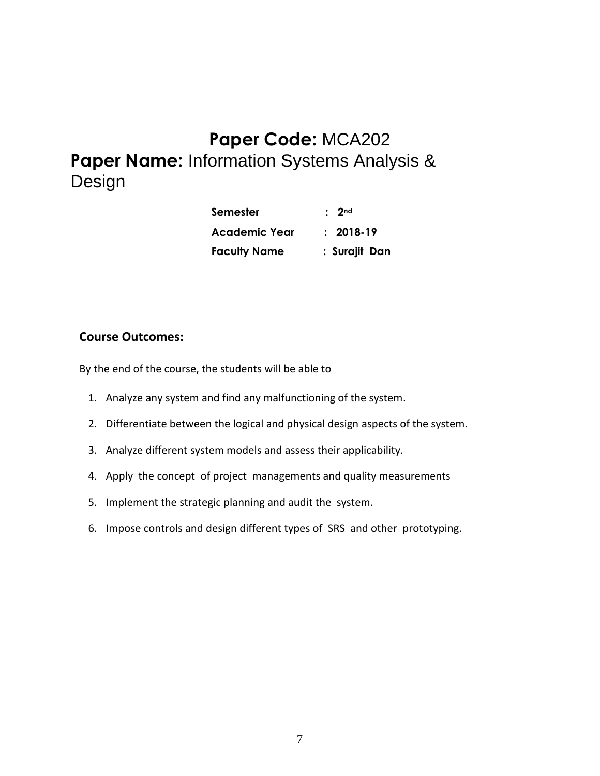### **Paper Code:** MCA202 **Paper Name:** Information Systems Analysis & Design

| Semester            | $\cdot$ 2nd   |
|---------------------|---------------|
| Academic Year       | $: 2018-19$   |
| <b>Faculty Name</b> | : Surajit Dan |

#### **Course Outcomes:**

- 1. Analyze any system and find any malfunctioning of the system.
- 2. Differentiate between the logical and physical design aspects of the system.
- 3. Analyze different system models and assess their applicability.
- 4. Apply the concept of project managements and quality measurements
- 5. Implement the strategic planning and audit the system.
- 6. Impose controls and design different types of SRS and other prototyping.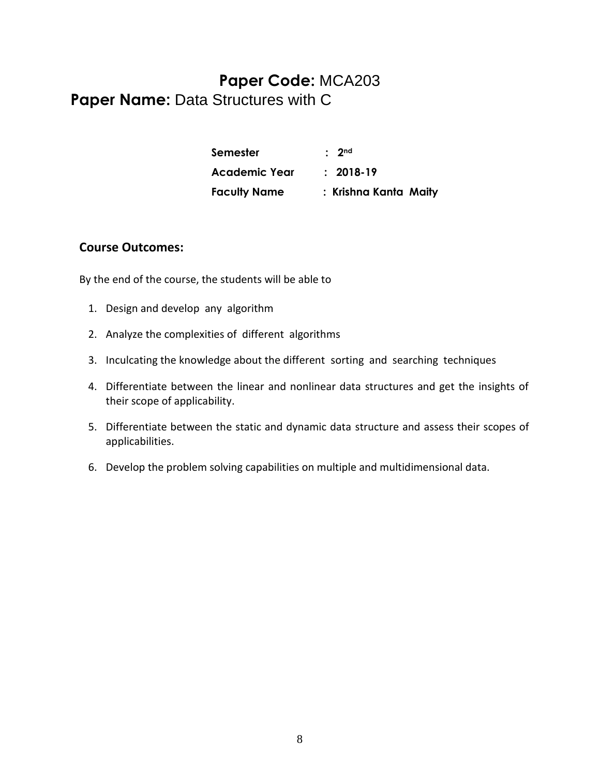### **Paper Code:** MCA203 Paper Name: Data Structures with C

| <b>Semester</b>      | $\cdot$ 2nd           |
|----------------------|-----------------------|
| <b>Academic Year</b> | $: 2018-19$           |
| <b>Faculty Name</b>  | : Krishna Kanta Maity |

#### **Course Outcomes:**

- 1. Design and develop any algorithm
- 2. Analyze the complexities of different algorithms
- 3. Inculcating the knowledge about the different sorting and searching techniques
- 4. Differentiate between the linear and nonlinear data structures and get the insights of their scope of applicability.
- 5. Differentiate between the static and dynamic data structure and assess their scopes of applicabilities.
- 6. Develop the problem solving capabilities on multiple and multidimensional data.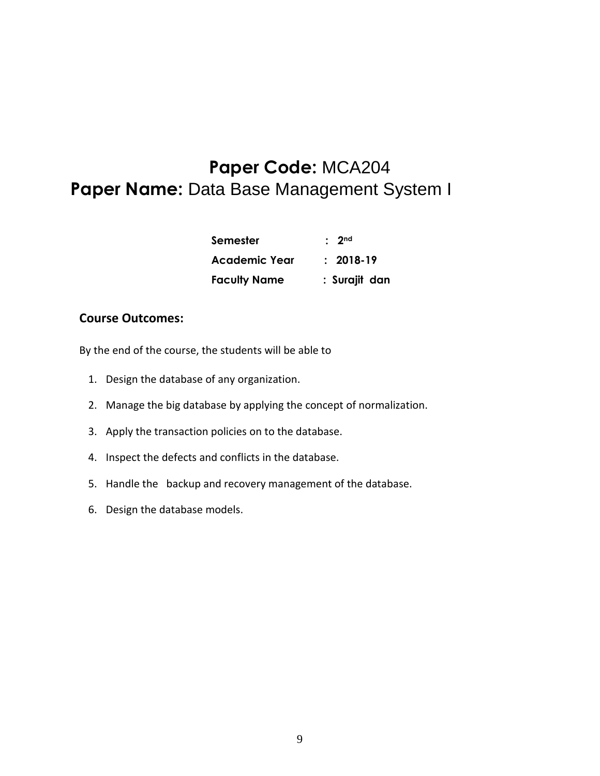### **Paper Code:** MCA204 **Paper Name:** Data Base Management System I

| <b>Semester</b>     | $\cdot$ 2nd   |
|---------------------|---------------|
| Academic Year       | $: 2018-19$   |
| <b>Faculty Name</b> | : Surajit dan |

#### **Course Outcomes:**

- 1. Design the database of any organization.
- 2. Manage the big database by applying the concept of normalization.
- 3. Apply the transaction policies on to the database.
- 4. Inspect the defects and conflicts in the database.
- 5. Handle the backup and recovery management of the database.
- 6. Design the database models.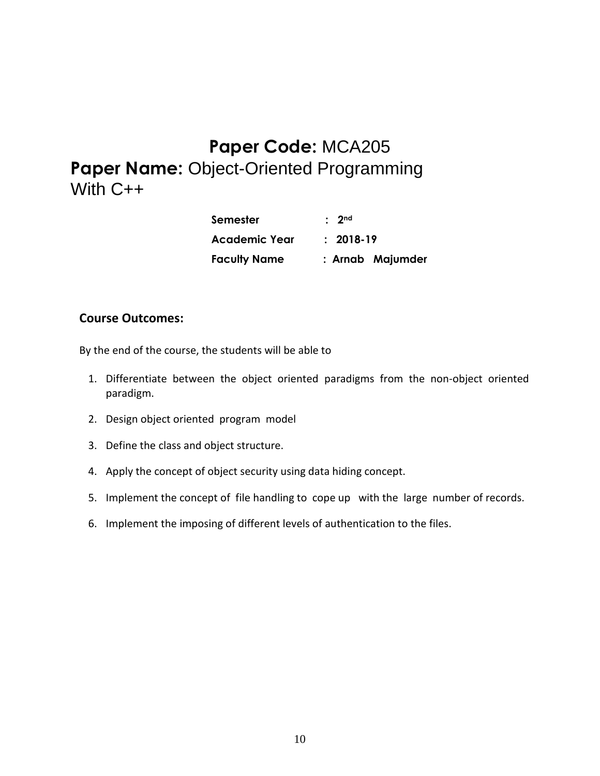### **Paper Code:** MCA205 **Paper Name:** Object-Oriented Programming With C++

| <b>Semester</b>      | $\cdot$ 2nd      |
|----------------------|------------------|
| <b>Academic Year</b> | $: 2018-19$      |
| <b>Faculty Name</b>  | : Arnab Majumder |

#### **Course Outcomes:**

- 1. Differentiate between the object oriented paradigms from the non-object oriented paradigm.
- 2. Design object oriented program model
- 3. Define the class and object structure.
- 4. Apply the concept of object security using data hiding concept.
- 5. Implement the concept of file handling to cope up with the large number of records.
- 6. Implement the imposing of different levels of authentication to the files.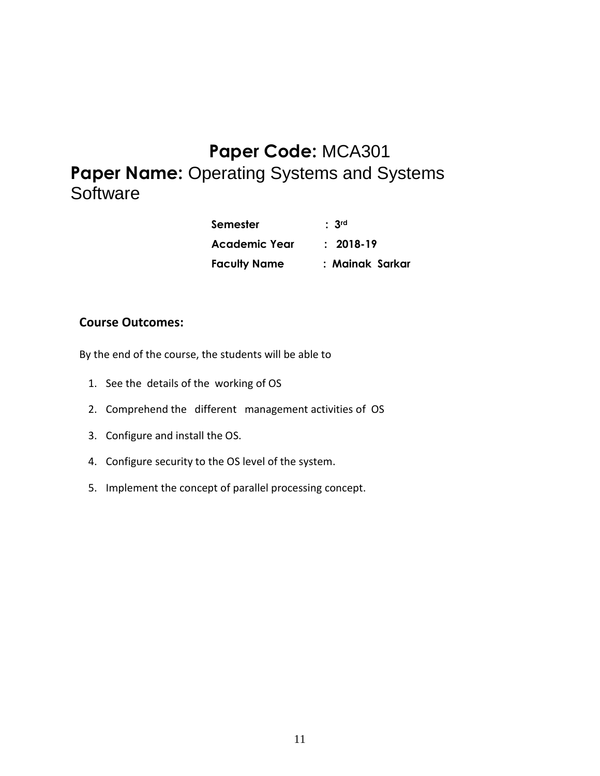# **Paper Code:** MCA301 **Paper Name:** Operating Systems and Systems **Software**

| Semester            | : 3 <sup>rd</sup> |
|---------------------|-------------------|
| Academic Year       | $: 2018-19$       |
| <b>Faculty Name</b> | : Mainak Sarkar   |

#### **Course Outcomes:**

- 1. See the details of the working of OS
- 2. Comprehend the different management activities of OS
- 3. Configure and install the OS.
- 4. Configure security to the OS level of the system.
- 5. Implement the concept of parallel processing concept.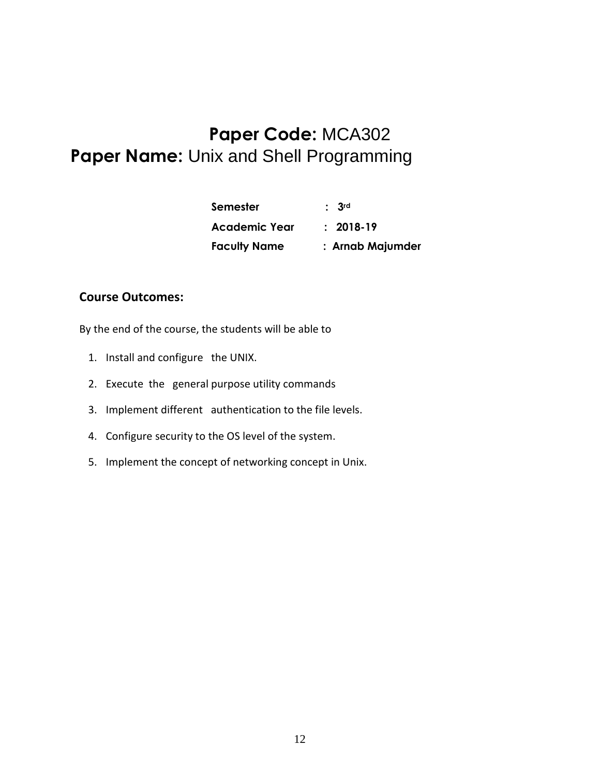### **Paper Code:** MCA302 **Paper Name:** Unix and Shell Programming

| <b>Semester</b>     | : 3 <sup>rd</sup> |
|---------------------|-------------------|
| Academic Year       | $: 2018-19$       |
| <b>Faculty Name</b> | : Arnab Majumder  |

#### **Course Outcomes:**

- 1. Install and configure the UNIX.
- 2. Execute the general purpose utility commands
- 3. Implement different authentication to the file levels.
- 4. Configure security to the OS level of the system.
- 5. Implement the concept of networking concept in Unix.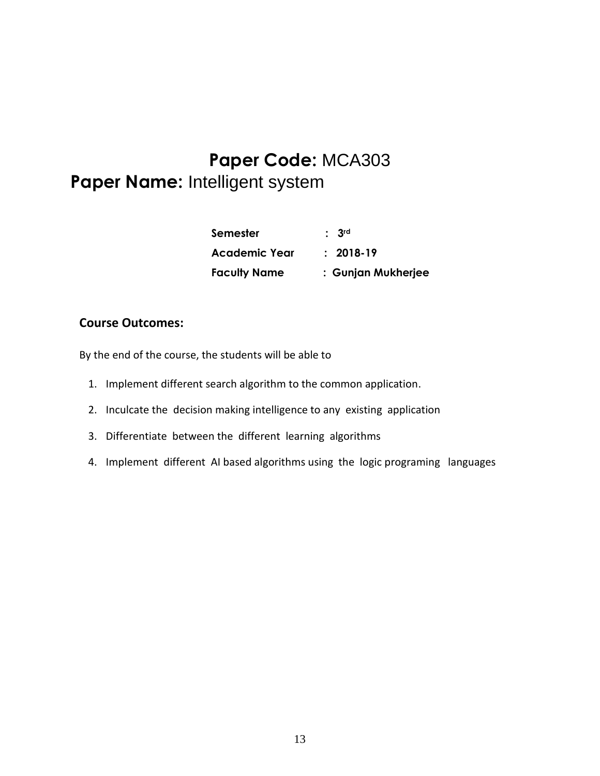### **Paper Code:** MCA303

### **Paper Name:** Intelligent system

| Semester             | $\cdot$ 3rd        |
|----------------------|--------------------|
| <b>Academic Year</b> | $: 2018-19$        |
| <b>Faculty Name</b>  | : Gunjan Mukherjee |

#### **Course Outcomes:**

- 1. Implement different search algorithm to the common application.
- 2. Inculcate the decision making intelligence to any existing application
- 3. Differentiate between the different learning algorithms
- 4. Implement different AI based algorithms using the logic programing languages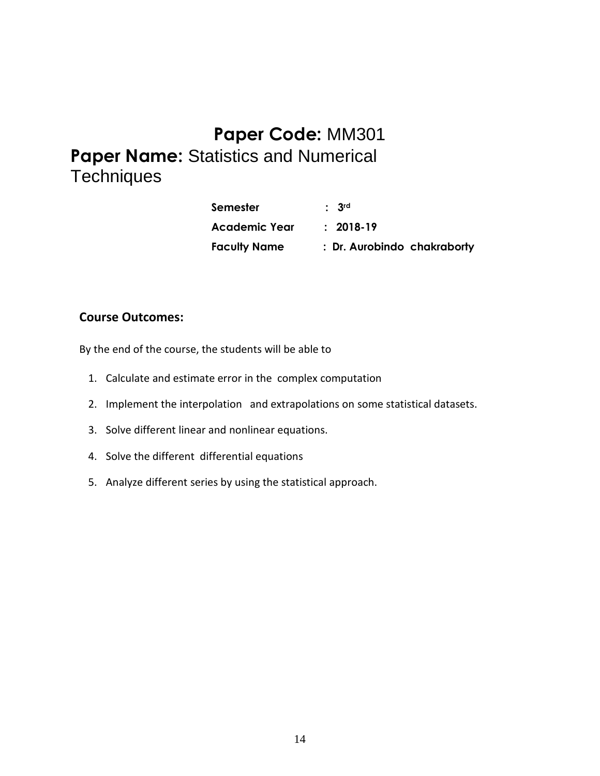# **Paper Code:** MM301

**Paper Name:** Statistics and Numerical **Techniques** 

| <b>Semester</b>      | : 3 <sup>rd</sup>           |
|----------------------|-----------------------------|
| <b>Academic Year</b> | $: 2018-19$                 |
| <b>Faculty Name</b>  | : Dr. Aurobindo chakraborty |

#### **Course Outcomes:**

- 1. Calculate and estimate error in the complex computation
- 2. Implement the interpolation and extrapolations on some statistical datasets.
- 3. Solve different linear and nonlinear equations.
- 4. Solve the different differential equations
- 5. Analyze different series by using the statistical approach.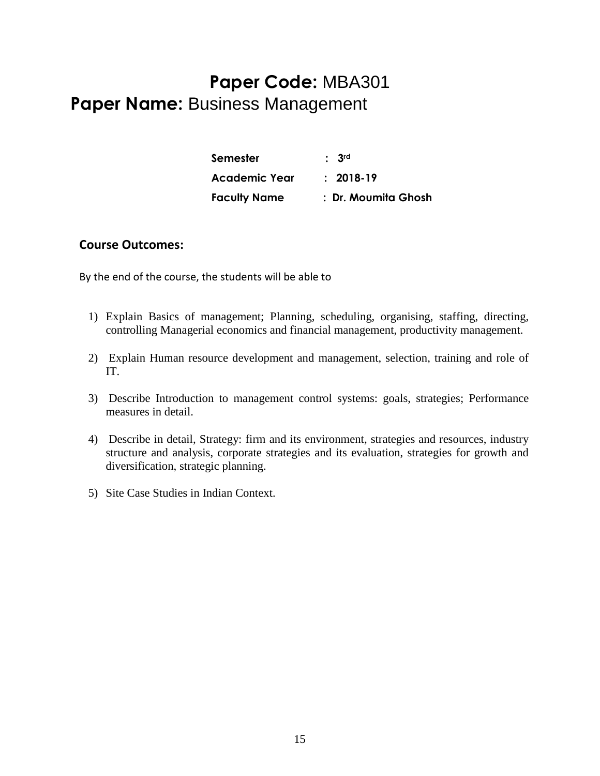### **Paper Code:** MBA301 **Paper Name:** Business Management

| Semester             | : 3 <sup>rd</sup>   |
|----------------------|---------------------|
| <b>Academic Year</b> | $: 2018-19$         |
| <b>Faculty Name</b>  | : Dr. Moumita Ghosh |

#### **Course Outcomes:**

- 1) Explain Basics of management; Planning, scheduling, organising, staffing, directing, controlling Managerial economics and financial management, productivity management.
- 2) Explain Human resource development and management, selection, training and role of IT.
- 3) Describe Introduction to management control systems: goals, strategies; Performance measures in detail.
- 4) Describe in detail, Strategy: firm and its environment, strategies and resources, industry structure and analysis, corporate strategies and its evaluation, strategies for growth and diversification, strategic planning.
- 5) Site Case Studies in Indian Context.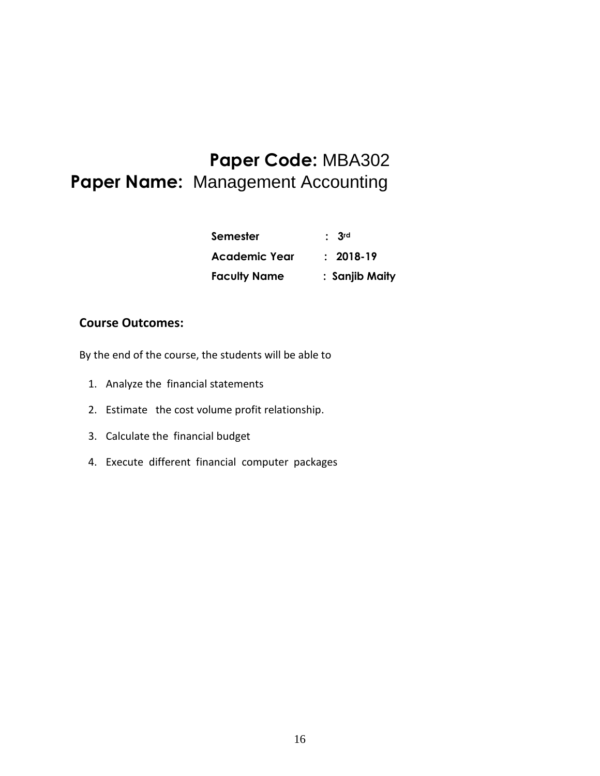### **Paper Code:** MBA302 **Paper Name:** Management Accounting

| Semester            | $\cdot$ 3rd    |
|---------------------|----------------|
| Academic Year       | $: 2018-19$    |
| <b>Faculty Name</b> | : Sanjib Maity |

#### **Course Outcomes:**

- 1. Analyze the financial statements
- 2. Estimate the cost volume profit relationship.
- 3. Calculate the financial budget
- 4. Execute different financial computer packages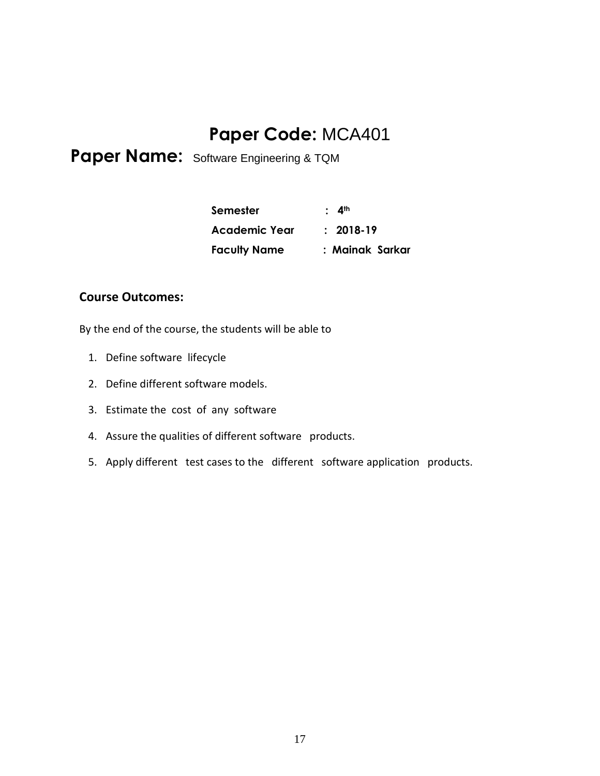### **Paper Code:** MCA401

Paper Name: Software Engineering & TQM

| Semester            | : 4 <sup>th</sup> |
|---------------------|-------------------|
| Academic Year       | $: 2018-19$       |
| <b>Faculty Name</b> | : Mainak Sarkar   |

#### **Course Outcomes:**

- 1. Define software lifecycle
- 2. Define different software models.
- 3. Estimate the cost of any software
- 4. Assure the qualities of different software products.
- 5. Apply different test cases to the different software application products.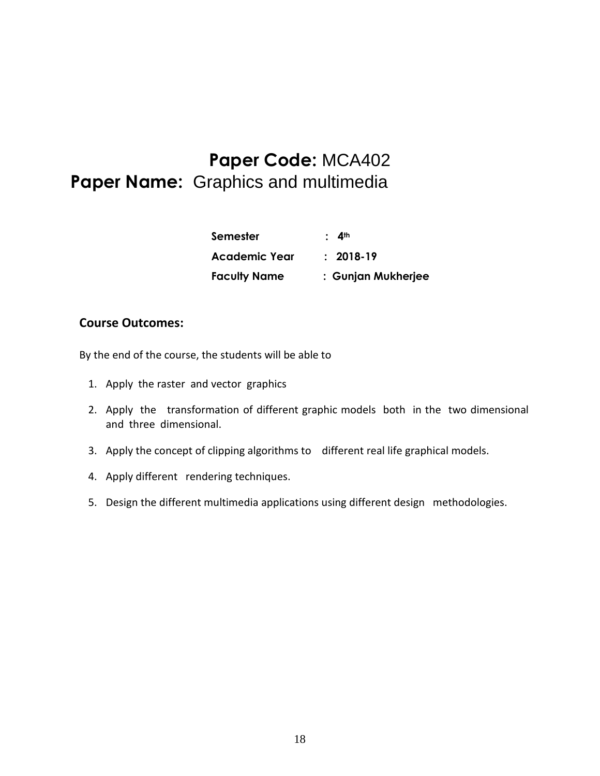## **Paper Code:** MCA402 **Paper Name:** Graphics and multimedia

| Semester            | $\cdot$ 4 <sup>th</sup> |
|---------------------|-------------------------|
| Academic Year       | $: 2018-19$             |
| <b>Faculty Name</b> | : Gunjan Mukherjee      |

#### **Course Outcomes:**

- 1. Apply the raster and vector graphics
- 2. Apply the transformation of different graphic models both in the two dimensional and three dimensional.
- 3. Apply the concept of clipping algorithms to different real life graphical models.
- 4. Apply different rendering techniques.
- 5. Design the different multimedia applications using different design methodologies.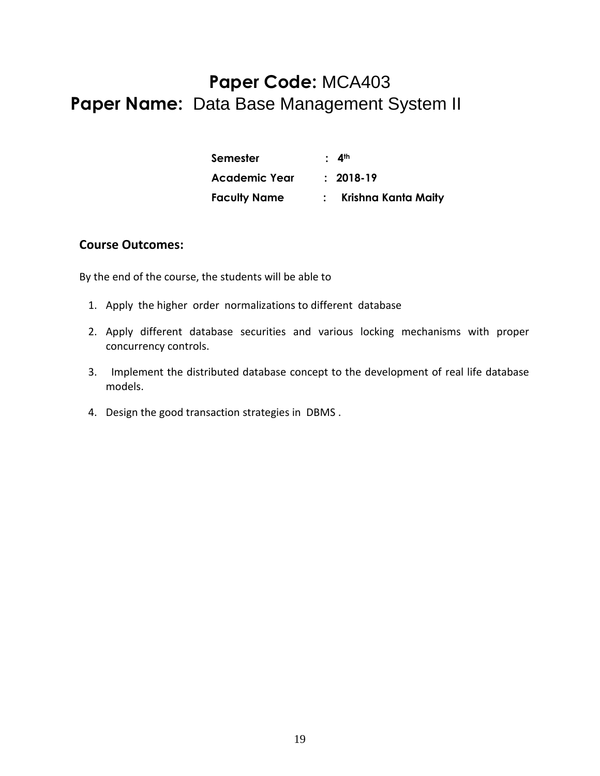### **Paper Code:** MCA403 **Paper Name:** Data Base Management System II

| <b>Semester</b>      | $\cdot$ 4 <sup>th</sup> |
|----------------------|-------------------------|
| <b>Academic Year</b> | $: 2018-19$             |
| <b>Faculty Name</b>  | Krishna Kanta Maity     |

#### **Course Outcomes:**

- 1. Apply the higher order normalizations to different database
- 2. Apply different database securities and various locking mechanisms with proper concurrency controls.
- 3. Implement the distributed database concept to the development of real life database models.
- 4. Design the good transaction strategies in DBMS .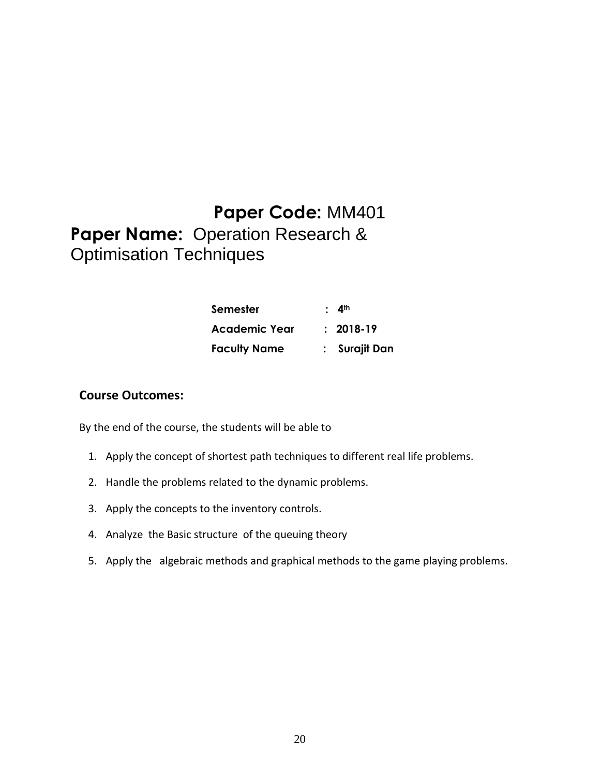### **Paper Code:** MM401 **Paper Name:** Operation Research & Optimisation Techniques

| Semester             | $\cdot$ 4 <sup>th</sup> |
|----------------------|-------------------------|
| <b>Academic Year</b> | $: 2018-19$             |
| <b>Faculty Name</b>  | : Surajit Dan           |

#### **Course Outcomes:**

- 1. Apply the concept of shortest path techniques to different real life problems.
- 2. Handle the problems related to the dynamic problems.
- 3. Apply the concepts to the inventory controls.
- 4. Analyze the Basic structure of the queuing theory
- 5. Apply the algebraic methods and graphical methods to the game playing problems.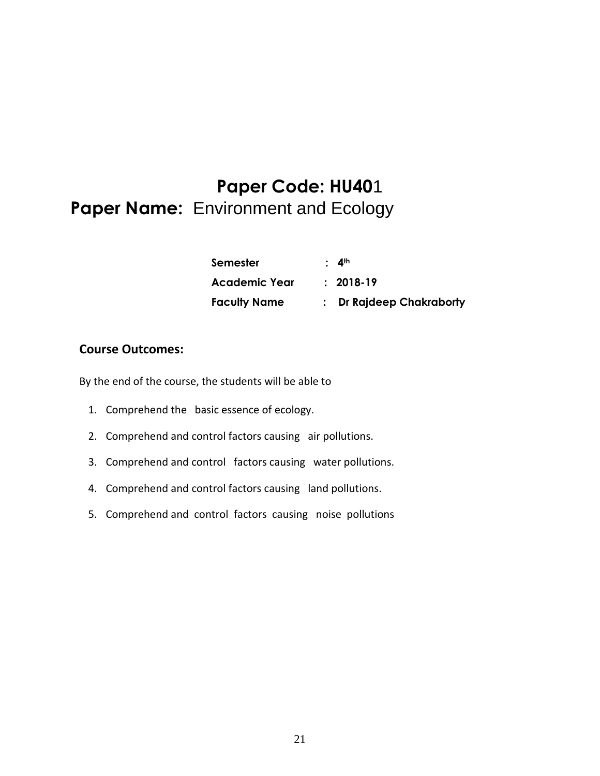# **Paper Code: HU40**1 **Paper Name:** Environment and Ecology

| Semester            | $\cdot$ 4 <sup>th</sup>  |
|---------------------|--------------------------|
| Academic Year       | $: 2018-19$              |
| <b>Faculty Name</b> | : Dr Rajdeep Chakraborty |

#### **Course Outcomes:**

- 1. Comprehend the basic essence of ecology.
- 2. Comprehend and control factors causing air pollutions.
- 3. Comprehend and control factors causing water pollutions.
- 4. Comprehend and control factors causing land pollutions.
- 5. Comprehend and control factors causing noise pollutions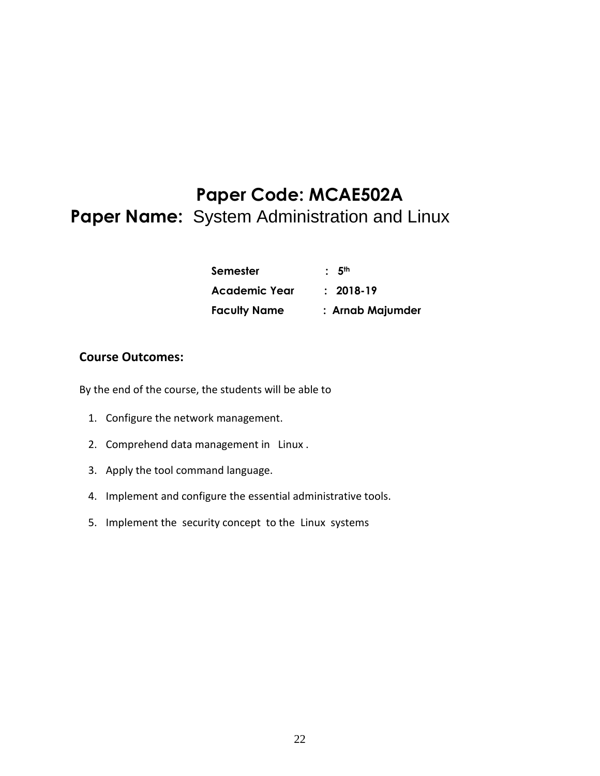### **Paper Code: MCAE502A Paper Name:** System Administration and Linux

| Semester             | : 5 <sup>th</sup> |
|----------------------|-------------------|
| <b>Academic Year</b> | $: 2018-19$       |
| <b>Faculty Name</b>  | : Arnab Majumder  |

#### **Course Outcomes:**

- 1. Configure the network management.
- 2. Comprehend data management in Linux .
- 3. Apply the tool command language.
- 4. Implement and configure the essential administrative tools.
- 5. Implement the security concept to the Linux systems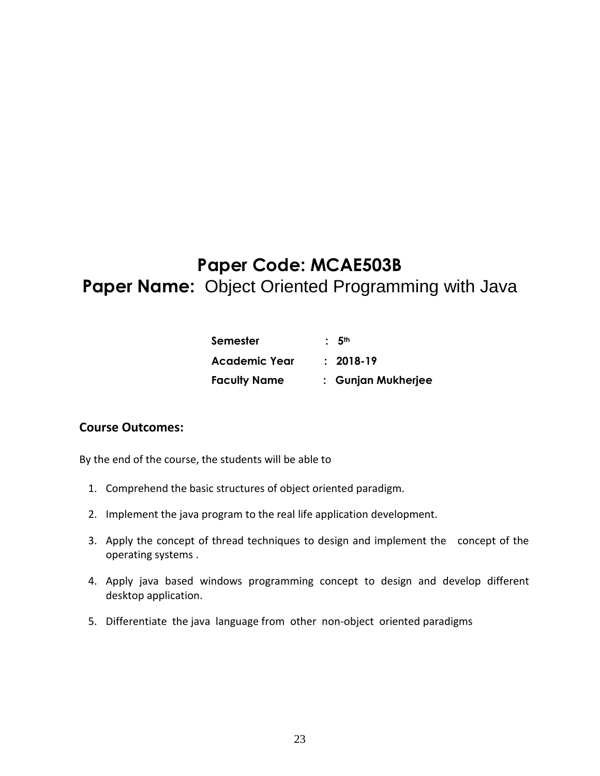# **Paper Code: MCAE503B Paper Name:** Object Oriented Programming with Java

| <b>Semester</b>      | : 5 <sup>th</sup>  |
|----------------------|--------------------|
| <b>Academic Year</b> | $: 2018-19$        |
| <b>Faculty Name</b>  | : Gunjan Mukherjee |

#### **Course Outcomes:**

- 1. Comprehend the basic structures of object oriented paradigm.
- 2. Implement the java program to the real life application development.
- 3. Apply the concept of thread techniques to design and implement the concept of the operating systems .
- 4. Apply java based windows programming concept to design and develop different desktop application.
- 5. Differentiate the java language from other non-object oriented paradigms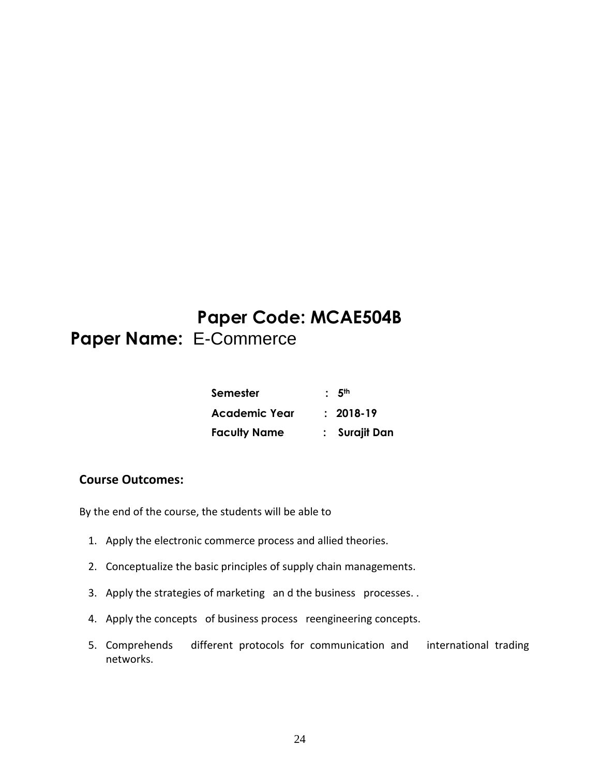### **Paper Code: MCAE504B Paper Name:** E-Commerce

| Semester            | : 5 <sup>th</sup> |  |
|---------------------|-------------------|--|
| Academic Year       | $: 2018-19$       |  |
| <b>Faculty Name</b> | : Surajit Dan     |  |

#### **Course Outcomes:**

- 1. Apply the electronic commerce process and allied theories.
- 2. Conceptualize the basic principles of supply chain managements.
- 3. Apply the strategies of marketing an d the business processes. .
- 4. Apply the concepts of business process reengineering concepts.
- 5. Comprehends different protocols for communication and international trading networks.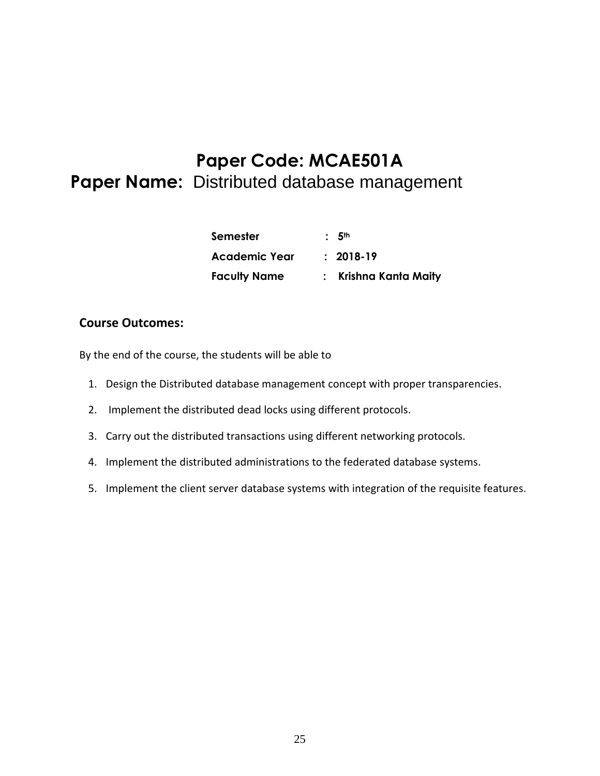### **Paper Code: MCAE501A Paper Name:** Distributed database management

| <b>Semester</b>     | : 5 <sup>th</sup>     |
|---------------------|-----------------------|
| Academic Year       | $: 2018-19$           |
| <b>Faculty Name</b> | : Krishna Kanta Maity |

#### **Course Outcomes:**

- 1. Design the Distributed database management concept with proper transparencies.
- 2. Implement the distributed dead locks using different protocols.
- 3. Carry out the distributed transactions using different networking protocols.
- 4. Implement the distributed administrations to the federated database systems.
- 5. Implement the client server database systems with integration of the requisite features.